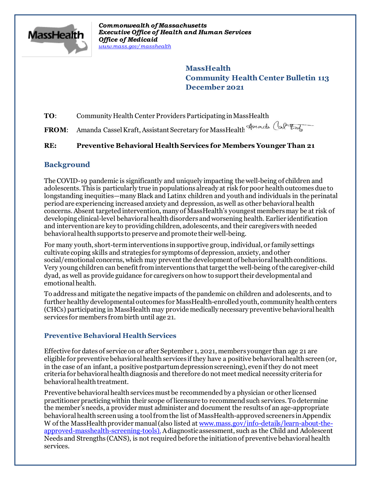

*Commonwealth of Massachusetts Executive Office of Health and Human Services Office of Medicaid [www.mass.gov/masshealth](http://www.mass.gov/masshealth)*

> **MassHealth Community Health Center Bulletin 113 December 2021**

**TO**: Community Health Center Providers Participating in MassHealth

**FROM**: Amanda Cassel Kraft, Assistant Secretary for MassHealth

# **RE: Preventive Behavioral Health Services for Members Younger Than 21**

# **Background**

The COVID-19 pandemic is significantly and uniquely impacting the well-being of children and adolescents. This is particularly true in populations already at risk for poor health outcomes due to longstanding inequities—many Black and Latinx children and youth and individuals in the perinatal periodare experiencing increased anxiety and depression, as well as other behavioral health concerns. Absent targeted intervention, many of MassHealth's youngest members may be at risk of developing clinical-level behavioral health disorders and worsening health. Earlier identification and intervention are key to providing children, adolescents, and their caregivers with needed behavioral health supports to preserve and promote their well-being.

For many youth, short-term interventions in supportive group, individual, or family settings cultivate coping skills and strategies for symptoms of depression, anxiety, and other social/emotional concerns, which may prevent the development of behavioral health conditions. Very young children can benefit from interventions that target the well-being of the caregiver-child dyad, as well as provide guidance for caregivers on how to support their developmental and emotional health.

To address and mitigate the negative impacts of the pandemic on children and adolescents, and to further healthy developmental outcomes for MassHealth-enrolled youth, community health centers (CHCs) participating in MassHealth may provide medically necessary preventive behavioral health services for members frombirth until age 21.

### **Preventive Behavioral Health Services**

Effective for dates of service on or after September 1, 2021, members younger than age 21 are eligible for preventive behavioral health services if they have a positive behavioral health screen (or, in the case of an infant, a positive postpartum depression screening), even if they do not meet criteria for behavioral health diagnosis and therefore do not meet medical necessity criteria for behavioral health treatment.

Preventive behavioral health services must be recommended by a physician or other licensed practitioner practicing within their scope of licensure to recommend such services. To determine the member's needs, a provider must administer and document the results of an age-appropriate behavioral health screen using a tool from the list of MassHealth-approved screeners in Appendix W of the MassHealth provider manual (also listed at [www.mass.gov/info-details/learn-about-the](C:\Users\JGambarini\AppData\Local\Microsoft\Windows\Temporary Internet Files\Content.Outlook\DPT8L4WS\www.mass.gov\info-details\learn-about-the-approved-masshealth-screening-tools)[approved-masshealth-screening-tools](C:\Users\JGambarini\AppData\Local\Microsoft\Windows\Temporary Internet Files\Content.Outlook\DPT8L4WS\www.mass.gov\info-details\learn-about-the-approved-masshealth-screening-tools)).Adiagnostic assessment, such as the Child and Adolescent Needs and Strengths (CANS), is not required before the initiation of preventive behavioral health services.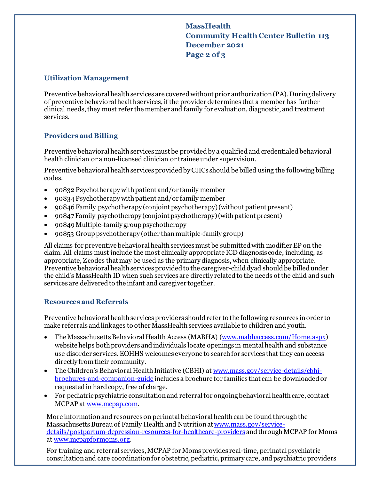# **MassHealth Community Health Center Bulletin 113 December 2021 Page 2 of 3**

#### **Utilization Management**

Preventive behavioral health services are covered without prior authorization(PA). During delivery of preventive behavioral health services, if the provider determines that a member has further clinical needs, they must refer the member and family for evaluation, diagnostic, and treatment services.

### **Providers and Billing**

Preventive behavioral health services must be provided by a qualified and credentialed behavioral health clinician or a non-licensed clinician or trainee under supervision.

Preventive behavioral health services provided by CHCs should be billed using the following billing codes.

- · 90832 Psychotherapy with patient and/or family member
- · 90834 Psychotherapy with patient and/or family member
- · 90846 Family psychotherapy (conjoint psychotherapy) (without patient present)
- · 90847 Family psychotherapy (conjoint psychotherapy) (with patient present)
- · 90849 Multiple-family group psychotherapy
- · 90853 Group psychotherapy (other than multiple-family group)

All claims for preventive behavioral health services must be submitted with modifier EP on the claim. All claims must include the most clinically appropriate ICD diagnosis code, including, as appropriate, Z codes that may be used as the primary diagnosis, when clinically appropriate. Preventive behavioral health services provided to the caregiver-child dyad should be billed under the child's MassHealth ID when such services are directly related to the needs of the child and such services are delivered to the infant and caregiver together.

#### **Resources and Referrals**

Preventive behavioral health services providers should refer to the following resources in order to make referrals and linkages to other MassHealth services available to children and youth.

- · The Massachusetts Behavioral Health Access (MABHA) [\(www.mabhaccess.com/Home.aspx](C:\Users\JGambarini\AppData\Local\Microsoft\Windows\Temporary Internet Files\Content.Outlook\DPT8L4WS\www.mabhaccess.com\Home.aspx)) website helps both providers and individuals locate openings in mental health and substance use disorder services. EOHHS welcomes everyone to search for services that they can access directly from their community.
- · The Children's Behavioral Health Initiative (CBHI) at [www.mass.gov/service-details/cbhi](http://www.mass.gov/service-details/cbhi-brochures-and-companion-guide)[brochures-and-companion-guide](http://www.mass.gov/service-details/cbhi-brochures-and-companion-guide) includes a brochure for families that can be downloaded or requested in hard copy, free of charge.
- · For pediatric psychiatric consultation and referral for ongoing behavioral health care, contact MCPAP at [www.mcpap.com](http://www.mcpap.com/).

More information and resources on perinatal behavioral health can be found through the Massachusetts Bureau of Family Health and Nutrition at [www.mass.gov/service](https://www.mass.gov/service-details/postpartum-depression-resources-for-healthcare-providers)[details/postpartum-depression-resources-for-healthcare-providers](https://www.mass.gov/service-details/postpartum-depression-resources-for-healthcare-providers) and through MCPAP for Moms at [www.mcpapformoms.org](http://www.mcpapformoms.org/).

For training and referral services, MCPAP for Moms provides real-time, perinatal psychiatric consultation and care coordination for obstetric, pediatric, primary care, and psychiatric providers